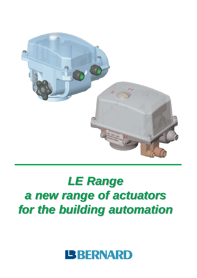

# *LE Range LE Range a new range of actuators a new range of actuators for the building automation for the building automation*

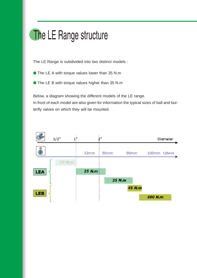## The LE Range structure

The LE Range is subdivided into two distinct models :

- The LE A with torque values lower than 35 N.m
- The LE B with torque values higher than 35 N.m

Below, a diagram showing the different models of the LE range. In front of each model are also given for information the typical sizes of ball and butterfly valves on which they will be mounted.

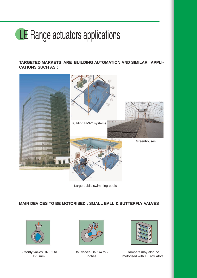# LE Range actuators applications

**TARGETED MARKETS ARE BUILDING AUTOMATION AND SIMILAR APPLI-CATIONS SUCH AS :**



Large public swimming pools

#### **MAIN DEVICES TO BE MOTORISED : SMALL BALL & BUTTERFLY VALVES**



Butterfly valves DN 32 to 125 mm



Ball valves DN 1/4 to 2 inches



Dampers may also be motorised with LE actuators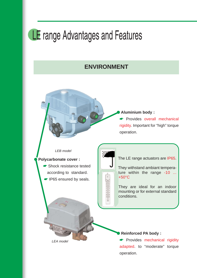## LE range Advantages and Features

#### **ENVIRONMENT**

● **Aluminium body :** ☛ Provides overall mechanical

rigidity. Important for "high" torque operation.

#### *LEB model*

#### Polycarbonate cover :

*LEA model*

☛ Shock resistance tested according to standard. ☛ IP65 ensured by seals.

The LE range actuators are IP65.

They withstand ambiant temperature within the range -10 ... +50°C

They are ideal for an indoor mounting or for external standard conditions.

#### **Reinforced PA body:**

☛ Provides mechanical rigidity adapted. to "moderate" torque operation.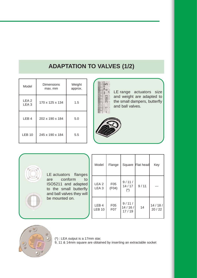## **ADAPTATION TO VALVES (1/2)**

| Model                                | <b>Dimensions</b><br>max. mm | Weight<br>approx. |
|--------------------------------------|------------------------------|-------------------|
| LEA <sub>2</sub><br>LEA <sub>3</sub> | 170 x 125 x 134              | 1.5               |
| LEB <sub>4</sub>                     | 202 x 190 x 184              | 5.0               |
| <b>LEB 10</b>                        | 245 x 190 x 184              | 5.5               |



LE range actuators size and weight are adapted to the small dampers, butterfly and ball valves.





| Model                                | Flange                   |                                           | Square   Flat head | Key             |
|--------------------------------------|--------------------------|-------------------------------------------|--------------------|-----------------|
| LEA <sub>2</sub><br>LEA <sub>3</sub> | F <sub>05</sub><br>(F04) | 9/11/<br>14/17<br>$(\dot{\phantom{a}}^*)$ | 9/11               |                 |
| LEB <sub>4</sub><br><b>LEB 10</b>    | F05<br>F <sub>0</sub> 7  | 9/11/<br>14/16/<br>17/19                  | 14                 | 14/18/<br>20/22 |



(\*) : LEA output is a 17mm star.

9, 11 & 14mm square are obtained by inserting an extractable socket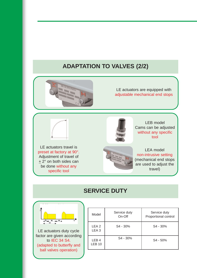## **ADAPTATION TO VALVES (2/2)**



LE actuators are equipped with adjustable mechanical end stops

LE actuators travel is preset at factory at 90°. Adjustment of travel of  $\pm$  2 $^{\circ}$  on both sides can be done without any specific tool



LEB model Cams can be adjusted without any specific tool

LEA model non-intrusive setting (mechanical end stops are used to adjust the travel)

### **SERVICE DUTY**



LE actuators duty cycle factor are given according to IEC 34 S4. (adapted to butterfly and ball valves operation)

| Model                             | Service duty<br>On-Off | Service duty<br>Proportional control |
|-----------------------------------|------------------------|--------------------------------------|
| LEA <sub>2</sub><br>LEA 3         | S4 - 30%               | S <sub>4</sub> - 30%                 |
| LEB <sub>4</sub><br><b>LEB 10</b> | S <sub>4</sub> - 30%   | $S4 - 50%$                           |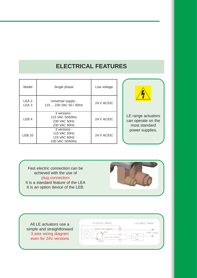### **ELECTRICAL FEATURES**

| Model                                | Single phase                                                   | Low voltage |                                                           |
|--------------------------------------|----------------------------------------------------------------|-------------|-----------------------------------------------------------|
| LEA <sub>2</sub><br>LEA <sub>3</sub> | Universal supply:<br>115  230 VAC 50 / 60Hz                    | 24 V AC/DC  |                                                           |
| LEB <sub>4</sub>                     | 3 versions:<br>115 VAC 50/60Hz<br>230 VAC 50Hz<br>230 VAC 60Hz | 24 V AC/DC  | LE range actuators<br>can operate on the<br>most standard |
| <b>LEB 10</b>                        | 3 versions:<br>115 VAC 50Hz<br>115 VAC 60Hz<br>230 VAC 50/60Hz | 24 V AC/DC  | power supplies.                                           |

Fast electric connection can be achieved with the use of plug connectors It is a standard feature of the LEA It is an option device of the LEB.



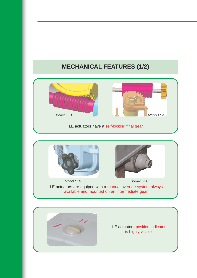## **MECHANICAL FEATURES (1/2)**



#### LE actuators have a self-locking final gear.



LE actuators are equiped with a manual override system always available and mounted on an intermediate gear. *Model LEB Model LEA*



LE actuators position indicator is highly visible.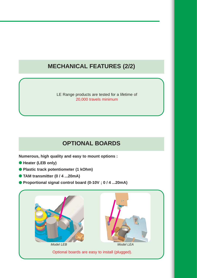### **MECHANICAL FEATURES (2/2)**

LE Range products are tested for a lifetime of 20,000 travels minimum

### **OPTIONAL BOARDS**

**Numerous, high quality and easy to mount options :**

- **Heater (LEB only)**
- **Plastic track potentiometer (1 kOhm)**
- **TAM transmitter (0 / 4 ...20mA)**
- **Proportional signal control board (0-10V ; 0 / 4 ...20mA)**

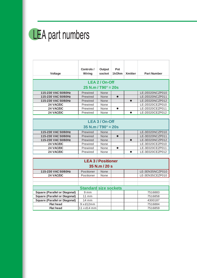

|                                      | Controls /                      | <b>Output</b>             | Pot       |                |                    |
|--------------------------------------|---------------------------------|---------------------------|-----------|----------------|--------------------|
| Voltage                              | Wiring                          | socket                    | 1kOhm     | <b>Xmitter</b> | <b>Part Number</b> |
|                                      |                                 |                           |           |                |                    |
|                                      |                                 | LEA 2 / On-Off            |           |                |                    |
|                                      | $25$ N.m / T90 $^{\circ}$ = 20s |                           |           |                |                    |
| 115-230 VAC 50/60Hz                  | Prewired                        | None                      |           |                | LE-2E020NCZP010    |
| 115-230 VAC 50/60Hz                  | Prewired                        | None                      | $\bullet$ |                | LE-2E020NCZP011    |
| 115-230 VAC 50/60Hz                  | Prewired                        | None                      |           | ●              | LE-2E020NCZP012    |
| 24 VAC/DC                            | Prewired                        | None                      |           |                | LE-2E020CEZP010    |
| 24 VAC/DC                            | Prewired                        | None                      | $\bullet$ |                | LE-2E020CEZP011    |
| 24 VAC/DC                            | Prewired                        | None                      |           | $\bullet$      | LE-2E020CEZP012    |
|                                      |                                 |                           |           |                |                    |
|                                      |                                 | LEA 3 / On-Off            |           |                |                    |
|                                      | $35$ N.m / T90 $^{\circ}$ = 20s |                           |           |                |                    |
| 115-230 VAC 50/60Hz                  | Prewired                        | None                      |           |                | LE-3E020NCZP010    |
| 115-230 VAC 50/60Hz                  | Prewired                        | None                      | $\bullet$ |                | LE-3E020NCZP011    |
| 115-230 VAC 50/60Hz                  | Prewired                        | None                      |           |                | LE-3E020NCZP012    |
| 24 VAC/DC                            | Prewired                        | None                      |           |                | LE-3E020CEZP010    |
| 24 VAC/DC                            | Prewired                        | None                      | $\bullet$ |                | LE-3E020CEZP011    |
| 24 VAC/DC                            | Prewired                        | None                      |           | $\bullet$      | LE-3E020CEZP012    |
|                                      |                                 |                           |           |                |                    |
|                                      |                                 | <b>LEA 3 / Positioner</b> |           |                |                    |
|                                      |                                 | 35 N.m / 20 s             |           |                |                    |
| 115-230 VAC 50/60Hz                  | Positioner                      | None                      |           |                | LE-3EN35NCZP010    |
| 24 VAC/DC                            | Positioner                      | None                      |           |                | LE-3EN35CEZP010    |
|                                      |                                 |                           |           |                |                    |
|                                      |                                 |                           |           |                |                    |
|                                      | <b>Standard size sockets</b>    |                           |           |                |                    |
| <b>Square (Parallel or Diagonal)</b> | 9 <sub>mm</sub>                 |                           |           |                | 7516883            |
| <b>Square (Parallel or Diagonal)</b> | $11$ mm                         |                           |           |                | 7516858            |
| <b>Square (Parallel or Diagonal)</b> | 14 mm                           |                           |           |                | 4300187            |
| <b>Flat head</b>                     | 9xd12mm                         |                           |           |                | 7516884            |
| <b>Flat head</b>                     | $11 \times d14$ mm              |                           |           |                | 7516859            |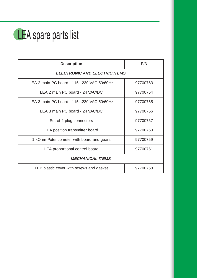

| <b>Description</b>                        | P/N      |  |  |  |
|-------------------------------------------|----------|--|--|--|
| <b>ELECTRONIC AND ELECTRIC ITEMS</b>      |          |  |  |  |
| LEA 2 main PC board - 115230 VAC 50/60Hz  | 97700753 |  |  |  |
| LEA 2 main PC board - 24 VAC/DC           | 97700754 |  |  |  |
| LEA 3 main PC board - 115230 VAC 50/60Hz  | 97700755 |  |  |  |
| LEA 3 main PC board - 24 VAC/DC           | 97700756 |  |  |  |
| Set of 2 plug connectors                  | 97700757 |  |  |  |
| LEA position transmitter board            | 97700760 |  |  |  |
| 1 kOhm Potentiometer with board and gears | 97700759 |  |  |  |
| LEA proportional control board            | 97700761 |  |  |  |
| <b>MECHANICAL ITEMS</b>                   |          |  |  |  |
| LEB plastic cover with screws and gasket  | 97700758 |  |  |  |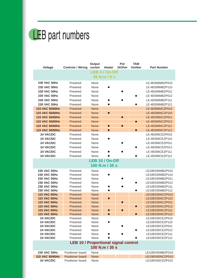# LEB part numbers

| Voltage                                    | <b>Controls / Wiring</b>                    | Output<br>socket           | Heater                 | Pot<br>1kOhm | <b>TAM</b><br><b>Xmitter</b> | <b>Part Number</b>                 |
|--------------------------------------------|---------------------------------------------|----------------------------|------------------------|--------------|------------------------------|------------------------------------|
|                                            |                                             |                            | LEB 4 / On-Off         |              |                              |                                    |
|                                            |                                             |                            | 45 N.m / 6 s           |              |                              |                                    |
| <b>230 VAC 50Hz</b>                        | Prewired                                    | None                       |                        |              |                              | LE-4E006MBZP010                    |
| <b>230 VAC 50Hz</b>                        | Prewired                                    | None                       |                        |              |                              | LE-4E006MBZP110                    |
| 230 VAC 50Hz                               | Prewired                                    | None                       |                        |              |                              | LE-4E006MBZP011                    |
| 230 VAC 50Hz                               | Prewired                                    | None                       |                        |              | ●                            | LE-4E006MBZP012                    |
| 230 VAC 50Hz                               | Prewired                                    | None                       | Q                      |              |                              | LE-4E006MBZP111                    |
| 230 VAC 50Hz                               | Prewired                                    | None                       | $\bullet$              |              | $\bullet$                    | LE-4E006MBZP112                    |
| 115 VAC 50/60Hz                            | Prewired                                    | <b>None</b>                |                        |              |                              | LE-4E006NCZP010                    |
| 115 VAC 50/60Hz                            | Prewired                                    | <b>None</b>                | $\bullet$              |              |                              | LE-4E006NCZP110                    |
| 115 VAC 50/60Hz                            | Prewired                                    | <b>None</b>                |                        | $\bullet$    |                              | LE-4E006NCZP011                    |
| 115 VAC 50/60Hz                            | Prewired                                    | <b>None</b>                |                        |              | $\bullet$                    | LE-4E006NCZP012                    |
| 115 VAC 50/60Hz                            | Prewired                                    | <b>None</b>                | $\bullet$              | $\bullet$    |                              | LE-4E006NCZP111                    |
| 115 VAC 50/60Hz                            | Prewired                                    | <b>None</b>                | $\bullet$              |              | $\bullet$                    | LE-4E006NCZP112                    |
| 24 VAC/DC                                  | Prewired                                    | None                       |                        |              |                              | LE-4E006CEZP010                    |
| 24 VAC/DC                                  | Prewired                                    | None                       |                        |              |                              | LE-4E006CEZP110                    |
| 24 VAC/DC                                  | Prewired                                    | None                       |                        |              |                              | LE-4E006CEZP011                    |
| 24 VAC/DC                                  | Prewired                                    | None                       |                        |              | ●                            | LE-4E006CEZP012                    |
| 24 VAC/DC                                  | Prewired                                    | None                       |                        |              |                              | LE-4E006CEZP111                    |
| 24 VAC/DC                                  | Prewired                                    | None                       |                        |              | $\bullet$                    | LE-4E006CEZP112                    |
|                                            |                                             |                            | <b>LEB 10 / On-Off</b> |              |                              |                                    |
|                                            |                                             |                            | 100 N.m / 35 s         |              |                              |                                    |
| <b>230 VAC 50Hz</b>                        | Prewired                                    | None                       |                        |              |                              | LE10E035MBZP010                    |
| <b>230 VAC 50Hz</b>                        | Prewired                                    | None                       |                        |              |                              | LE10E035MBZP110                    |
| <b>230 VAC 50Hz</b>                        | Prewired                                    | None                       |                        |              |                              | LE10E035MBZP011                    |
| <b>230 VAC 50Hz</b>                        | Prewired                                    | None                       |                        |              |                              | LE10E035MBZP012                    |
| <b>230 VAC 50Hz</b>                        | Prewired                                    | None                       |                        |              |                              | LE10E035MBZP111                    |
| <b>230 VAC 50Hz</b>                        | Prewired                                    | None                       |                        |              |                              | LE10E035MBZP112                    |
| <b>115 VAC 60Hz</b>                        | Prewired                                    | <b>None</b>                |                        |              |                              | LE10E035NCZP010                    |
| <b>115 VAC 60Hz</b><br><b>115 VAC 60Hz</b> | Prewired<br>Prewired                        | <b>None</b><br><b>None</b> | $\bullet$              | $\bullet$    |                              | LE10E035NCZP110<br>LE10E035NCZP011 |
| <b>115 VAC 60Hz</b>                        | Prewired                                    | <b>None</b>                |                        |              | $\bullet$                    | LE10E035NCZP012                    |
| <b>115 VAC 60Hz</b>                        | <b>Prewired</b>                             | <b>None</b>                |                        |              |                              | LE10E035NCZP111                    |
| <b>115 VAC 60Hz</b>                        | <b>Prewired</b>                             | <b>None</b>                |                        |              | $\bullet$                    | LE10E035NCZP112                    |
| 24 VAC/DC                                  | Prewired                                    | None                       |                        |              |                              | LE10E035CEZP010                    |
| 24 VAC/DC                                  | Prewired                                    | None                       |                        |              |                              | LE10E035CEZP110                    |
| 24 VAC/DC                                  | Prewired                                    | None                       |                        |              |                              | LE10E035CEZP011                    |
| 24 VAC/DC                                  | Prewired                                    | None                       |                        |              |                              | LE10E035CEZP012                    |
| 24 VAC/DC                                  | Prewired                                    | None                       |                        |              |                              | LE10E035CEZP111                    |
| 24 VAC/DC                                  | Prewired                                    | None                       |                        |              |                              | LE10E035CEZP112                    |
|                                            | <b>LEB 10 / Proportional signal control</b> |                            | 100 N.m / 35 s         |              |                              |                                    |
|                                            |                                             |                            |                        |              |                              |                                    |
| 230 VAC 50Hz                               | Positioner board                            | None                       |                        |              |                              | LE10EN35MBZP010                    |
| 115 VAC 50/60Hz                            | <b>Positioner board</b>                     | <b>None</b>                |                        |              |                              | LE10EN35NCZP010                    |
| 24 VAC/DC                                  | Positioner board                            | None                       |                        |              |                              | LE10EN35CEZP010                    |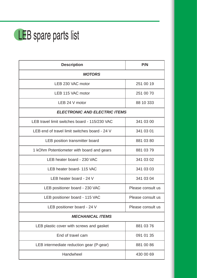# LEB spare parts list

| <b>Description</b>                            | P/N               |  |  |  |
|-----------------------------------------------|-------------------|--|--|--|
| <b>MOTORS</b>                                 |                   |  |  |  |
| LEB 230 VAC motor                             | 251 00 19         |  |  |  |
| LEB 115 VAC motor                             | 251 00 70         |  |  |  |
| LEB 24 V motor                                | 88 10 333         |  |  |  |
| <b>ELECTRONIC AND ELECTRIC ITEMS</b>          |                   |  |  |  |
| LEB travel limit switches board - 115/230 VAC | 341 03 00         |  |  |  |
| LEB end of travel limit switches board - 24 V | 341 03 01         |  |  |  |
| LEB position transmitter board                | 881 03 80         |  |  |  |
| 1 kOhm Potentiometer with board and gears     | 881 03 79         |  |  |  |
| LEB heater board - 230 VAC                    | 341 03 02         |  |  |  |
| LEB heater board- 115 VAC                     | 341 03 03         |  |  |  |
| LEB heater board - 24 V                       | 341 03 04         |  |  |  |
| LEB positioner board - 230 VAC                | Please consult us |  |  |  |
| LEB positioner board - 115 VAC                | Please consult us |  |  |  |
| LEB positioner board - 24 V                   | Please consult us |  |  |  |
| <b>MECHANICAL ITEMS</b>                       |                   |  |  |  |
| LEB plastic cover with screws and gasket      | 881 03 76         |  |  |  |
| End of travel cam                             | 091 01 35         |  |  |  |
| LEB intermediate reduction gear (P-gear)      | 881 00 86         |  |  |  |
| Handwheel                                     | 430 00 69         |  |  |  |